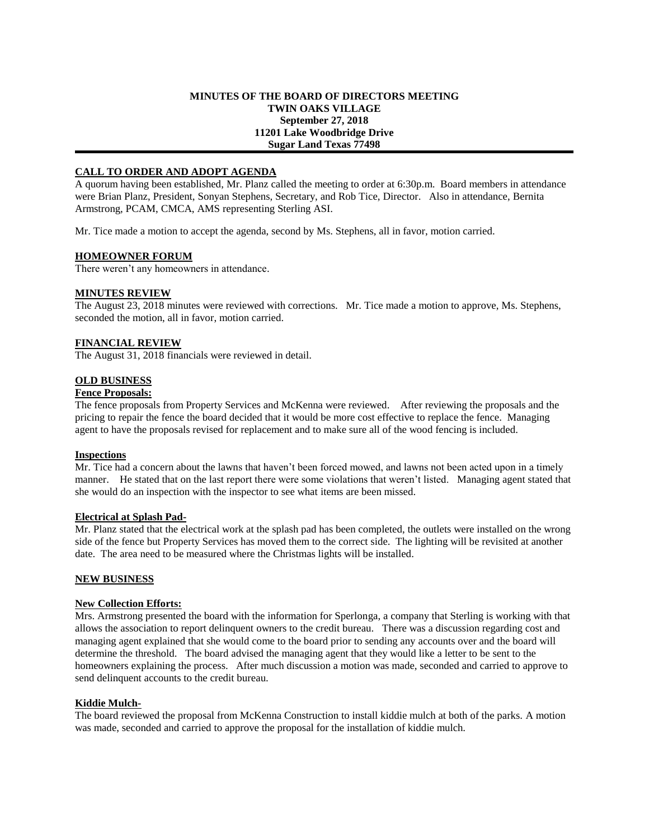### **MINUTES OF THE BOARD OF DIRECTORS MEETING TWIN OAKS VILLAGE September 27, 2018 11201 Lake Woodbridge Drive Sugar Land Texas 77498**

## **CALL TO ORDER AND ADOPT AGENDA**

A quorum having been established, Mr. Planz called the meeting to order at 6:30p.m. Board members in attendance were Brian Planz, President, Sonyan Stephens, Secretary, and Rob Tice, Director. Also in attendance, Bernita Armstrong, PCAM, CMCA, AMS representing Sterling ASI.

Mr. Tice made a motion to accept the agenda, second by Ms. Stephens, all in favor, motion carried.

#### **HOMEOWNER FORUM**

There weren't any homeowners in attendance.

#### **MINUTES REVIEW**

The August 23, 2018 minutes were reviewed with corrections. Mr. Tice made a motion to approve, Ms. Stephens, seconded the motion, all in favor, motion carried.

#### **FINANCIAL REVIEW**

The August 31, 2018 financials were reviewed in detail.

#### **OLD BUSINESS**

# **Fence Proposals:**

The fence proposals from Property Services and McKenna were reviewed. After reviewing the proposals and the pricing to repair the fence the board decided that it would be more cost effective to replace the fence. Managing agent to have the proposals revised for replacement and to make sure all of the wood fencing is included.

#### **Inspections**

Mr. Tice had a concern about the lawns that haven't been forced mowed, and lawns not been acted upon in a timely manner. He stated that on the last report there were some violations that weren't listed. Managing agent stated that she would do an inspection with the inspector to see what items are been missed.

#### **Electrical at Splash Pad-**

Mr. Planz stated that the electrical work at the splash pad has been completed, the outlets were installed on the wrong side of the fence but Property Services has moved them to the correct side. The lighting will be revisited at another date. The area need to be measured where the Christmas lights will be installed.

## **NEW BUSINESS**

#### **New Collection Efforts:**

Mrs. Armstrong presented the board with the information for Sperlonga, a company that Sterling is working with that allows the association to report delinquent owners to the credit bureau. There was a discussion regarding cost and managing agent explained that she would come to the board prior to sending any accounts over and the board will determine the threshold. The board advised the managing agent that they would like a letter to be sent to the homeowners explaining the process. After much discussion a motion was made, seconded and carried to approve to send delinquent accounts to the credit bureau.

#### **Kiddie Mulch-**

The board reviewed the proposal from McKenna Construction to install kiddie mulch at both of the parks. A motion was made, seconded and carried to approve the proposal for the installation of kiddie mulch.